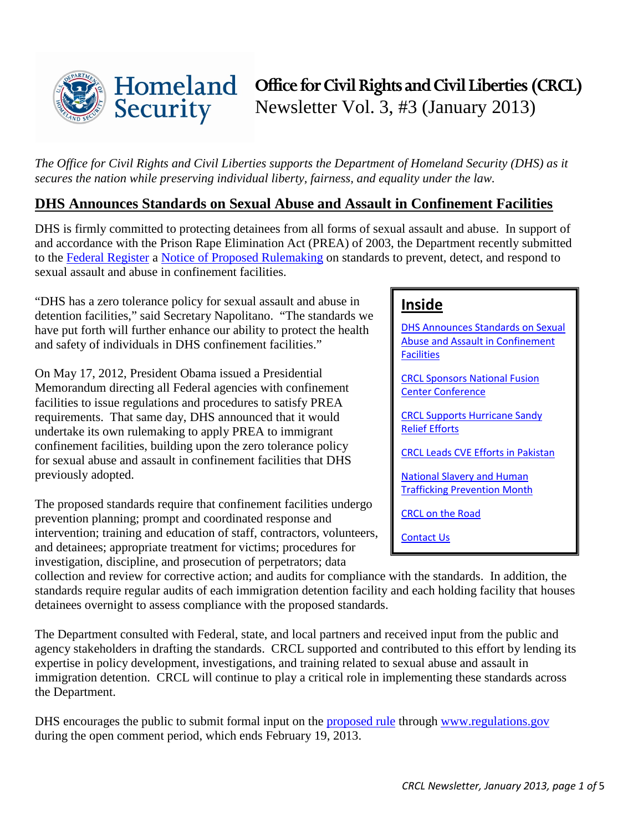

*The Office for Civil Rights and Civil Liberties supports the Department of Homeland Security (DHS) as it secures the nation while preserving individual liberty, fairness, and equality under the law.* 

## <span id="page-0-0"></span>**DHS Announces Standards on Sexual Abuse and Assault in Confinement Facilities**

DHS is firmly committed to protecting detainees from all forms of sexual assault and abuse. In support of and accordance with the Prison Rape Elimination Act (PREA) of 2003, the Department recently submitted to the [Federal Register](http://www.ofr.gov/) a [Notice of Proposed Rulemaking](http://www.dhs.gov/sites/default/files/publications/prea-nprm-final-120612.pdf) on standards to prevent, detect, and respond to sexual assault and abuse in confinement facilities.

"DHS has a zero tolerance policy for sexual assault and abuse in detention facilities," said Secretary Napolitano. "The standards we have put forth will further enhance our ability to protect the health and safety of individuals in DHS confinement facilities."

On May 17, 2012, President Obama issued a Presidential Memorandum directing all Federal agencies with confinement facilities to issue regulations and procedures to satisfy PREA requirements. That same day, DHS announced that it would undertake its own rulemaking to apply PREA to immigrant confinement facilities, building upon the zero tolerance policy for sexual abuse and assault in confinement facilities that DHS previously adopted.

The proposed standards require that confinement facilities undergo prevention planning; prompt and coordinated response and intervention; training and education of staff, contractors, volunteers, and detainees; appropriate treatment for victims; procedures for investigation, discipline, and prosecution of perpetrators; data

## **Inside**

[DHS Announces Standards on Sexual](#page-0-0)  [Abuse and Assault in Confinement](#page-0-0)  **Facilities** 

[CRCL Sponsors National Fusion](#page-1-0)  [Center Conference](#page-1-0)

[CRCL Supports Hurricane Sandy](#page-1-1)  Relief [Efforts](#page-1-1)

[CRCL Leads CVE Efforts in Pakistan](#page-2-0)

[National Slavery and Human](#page-2-0)  [Trafficking Prevention Month](#page-2-0)

[CRCL on the Road](#page-3-0)

[Contact Us](#page-4-0)

collection and review for corrective action; and audits for compliance with the standards. In addition, the standards require regular audits of each immigration detention facility and each holding facility that houses detainees overnight to assess compliance with the proposed standards.

The Department consulted with Federal, state, and local partners and received input from the public and agency stakeholders in drafting the standards. CRCL supported and contributed to this effort by lending its expertise in policy development, investigations, and training related to sexual abuse and assault in immigration detention. CRCL will continue to play a critical role in implementing these standards across the Department.

DHS encourages the public to submit formal input on the [proposed rule](http://www.dhs.gov/sites/default/files/publications/prea-nprm-final-120612.pdf) through [www.regulations.gov](http://www.regulations.gov/) during the open comment period, which ends February 19, 2013.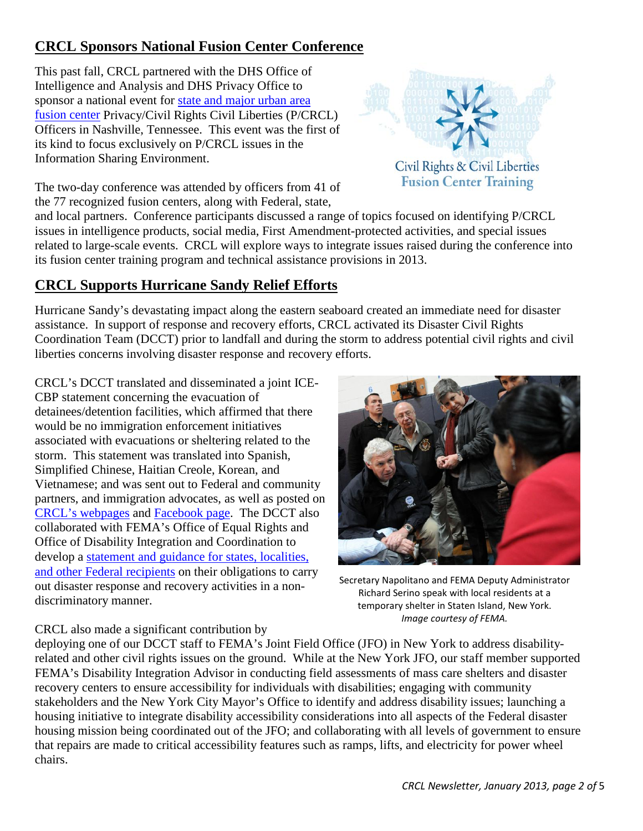# <span id="page-1-0"></span>**CRCL Sponsors National Fusion Center Conference**

This past fall, CRCL partnered with the DHS Office of Intelligence and Analysis and DHS Privacy Office to sponsor a national event for [state and major urban area](http://www.dhs.gov/national-network-fusion-centers-fact-sheet) [fusion center](http://www.dhs.gov/national-network-fusion-centers-fact-sheet) Privacy/Civil Rights Civil Liberties (P/CRCL) Officers in Nashville, Tennessee. This event was the first of its kind to focus exclusively on P/CRCL issues in the Information Sharing Environment.



Civil Rights & Civil Liberties **Fusion Center Training** 

The two-day conference was attended by officers from 41 of the 77 recognized fusion centers, along with Federal, state,

and local partners. Conference participants discussed a range of topics focused on identifying P/CRCL issues in intelligence products, social media, First Amendment-protected activities, and special issues related to large-scale events. CRCL will explore ways to integrate issues raised during the conference into its fusion center training program and technical assistance provisions in 2013.

# <span id="page-1-1"></span>**CRCL Supports Hurricane Sandy Relief Efforts**

Hurricane Sandy's devastating impact along the eastern seaboard created an immediate need for disaster assistance. In support of response and recovery efforts, CRCL activated its Disaster Civil Rights Coordination Team (DCCT) prior to landfall and during the storm to address potential civil rights and civil liberties concerns involving disaster response and recovery efforts.

CRCL's DCCT translated and disseminated a joint ICE-CBP statement concerning the evacuation of detainees/detention facilities, which affirmed that there would be no immigration enforcement initiatives associated with evacuations or sheltering related to the storm. This statement was translated into Spanish, Simplified Chinese, Haitian Creole, Korean, and Vietnamese; and was sent out to Federal and community partners, and immigration advocates, as well as posted on CRCL's [webpages](http://www.dhs.gov/ice-cbp-joint-message-regarding-hurricane-sandy) and [Facebook page.](http://www.facebook.com/CivilRightsandCivilLiberties) The DCCT also collaborated with FEMA's Office of Equal Rights and Office of Disability Integration and Coordination to develop a statement and guidance for states, localities, [and other Federal recipients](http://www.dhs.gov/publication/tips-effectively-communicating-protected-populations-during-response-and-recovery) on their obligations to carry out disaster response and recovery activities in a nondiscriminatory manner.



Secretary Napolitano and FEMA Deputy Administrator Richard Serino speak with local residents at a temporary shelter in Staten Island, New York. *Image courtesy of FEMA.* 

### CRCL also made a significant contribution by

deploying one of our DCCT staff to FEMA's Joint Field Office (JFO) in New York to address disabilityrelated and other civil rights issues on the ground. While at the New York JFO, our staff member supported FEMA's Disability Integration Advisor in conducting field assessments of mass care shelters and disaster recovery centers to ensure accessibility for individuals with disabilities; engaging with community stakeholders and the New York City Mayor's Office to identify and address disability issues; launching a housing initiative to integrate disability accessibility considerations into all aspects of the Federal disaster housing mission being coordinated out of the JFO; and collaborating with all levels of government to ensure that repairs are made to critical accessibility features such as ramps, lifts, and electricity for power wheel chairs.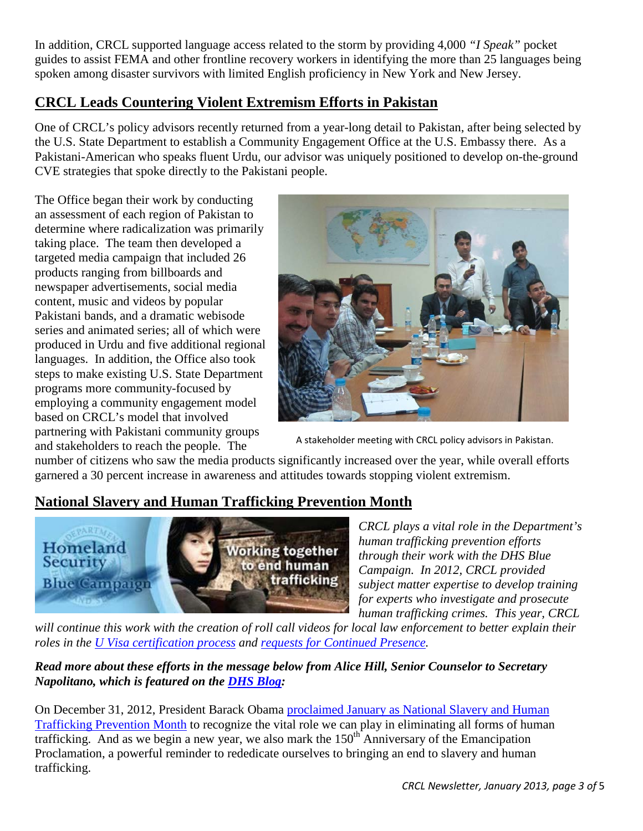In addition, CRCL supported language access related to the storm by providing 4,000 *"I Speak"* pocket guides to assist FEMA and other frontline recovery workers in identifying the more than 25 languages being spoken among disaster survivors with limited English proficiency in New York and New Jersey.

## <span id="page-2-0"></span>**CRCL Leads Countering Violent Extremism Efforts in Pakistan**

One of CRCL's policy advisors recently returned from a year-long detail to Pakistan, after being selected by the U.S. State Department to establish a Community Engagement Office at the U.S. Embassy there. As a Pakistani-American who speaks fluent Urdu, our advisor was uniquely positioned to develop on-the-ground CVE strategies that spoke directly to the Pakistani people.

The Office began their work by conducting an assessment of each region of Pakistan to determine where radicalization was primarily taking place. The team then developed a targeted media campaign that included 26 products ranging from billboards and newspaper advertisements, social media content, music and videos by popular Pakistani bands, and a dramatic webisode series and animated series; all of which were produced in Urdu and five additional regional languages. In addition, the Office also took steps to make existing U.S. State Department programs more community-focused by employing a community engagement model based on CRCL's model that involved partnering with Pakistani community groups and stakeholders to reach the people. The



A stakeholder meeting with CRCL policy advisors in Pakistan.

number of citizens who saw the media products significantly increased over the year, while overall efforts garnered a 30 percent increase in awareness and attitudes towards stopping violent extremism.

# **National Slavery and Human Trafficking Prevention Month**



*CRCL plays a vital role in the Department's human trafficking prevention efforts through their work with the DHS Blue Campaign. In 2012, CRCL provided subject matter expertise to develop training for experts who investigate and prosecute human trafficking crimes. This year, CRCL* 

will continue this work with the creation of roll call videos for local law enforcement to better explain their *roles in the [U Visa certification process](http://www.uscis.gov/portal/site/uscis/menuitem.eb1d4c2a3e5b9ac89243c6a7543f6d1a/?vgnextoid=ee1e3e4d77d73210VgnVCM100000082ca60aRCRD&vgnextchannel=ee1e3e4d77d73210VgnVCM100000082ca60aRCRD) and [requests for Continued Presence.](http://www.ice.gov/doclib/human-trafficking/pdf/continued-presence.pdf)* 

## *Read more about these efforts in the message below from Alice Hill, Senior Counselor to Secretary Napolitano, which is featured on the [DHS Blog:](http://www.dhs.gov/blog/2013/01/07/national-slavery-and-human-trafficking-prevention-month)*

On December 31, 2012, President Barack Obama [proclaimed January as National Slavery and Human](http://www.whitehouse.gov/the-press-office/2012/12/31/presidential-proclamation-national-slavery-and-human-trafficking-prevent)  [Trafficking Prevention Month](http://www.whitehouse.gov/the-press-office/2012/12/31/presidential-proclamation-national-slavery-and-human-trafficking-prevent) to recognize the vital role we can play in eliminating all forms of human trafficking. And as we begin a new year, we also mark the  $150<sup>th</sup>$  Anniversary of the Emancipation Proclamation, a powerful reminder to rededicate ourselves to bringing an end to slavery and human trafficking.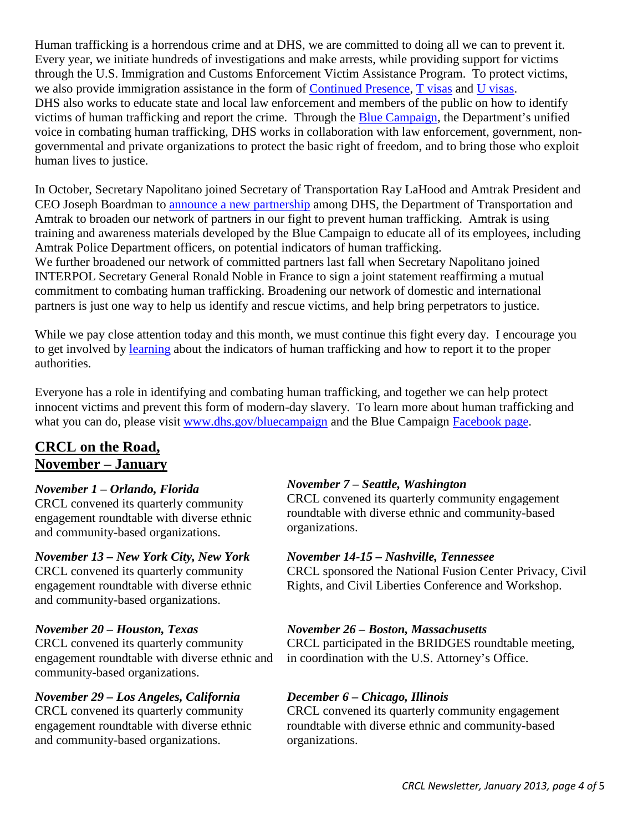Human trafficking is a horrendous crime and at DHS, we are committed to doing all we can to prevent it. Every year, we initiate hundreds of investigations and make arrests, while providing support for victims through the U.S. Immigration and Customs Enforcement Victim Assistance Program. To protect victims, we also provide immigration assistance in the form of [Continued Presence,](http://www.ice.gov/doclib/human-trafficking/pdf/continued-presence.pdf) [T visas](http://www.uscis.gov/portal/site/uscis/menuitem.eb1d4c2a3e5b9ac89243c6a7543f6d1a/?vgnextoid=02ed3e4d77d73210VgnVCM100000082ca60aRCRD&vgnextchannel=02ed3e4d77d73210VgnVCM100000082ca60aRCRD#T%20Nonimmigrant%20Eligibility) and [U visas.](http://www.uscis.gov/portal/site/uscis/menuitem.eb1d4c2a3e5b9ac89243c6a7543f6d1a/?vgnextoid=ee1e3e4d77d73210VgnVCM100000082ca60aRCRD&vgnextchannel=ee1e3e4d77d73210VgnVCM100000082ca60aRCRD) DHS also works to educate state and local law enforcement and members of the public on how to identify victims of human trafficking and report the crime. Through the [Blue Campaign,](http://www.dhs.gov/bluecampaign) the Department's unified voice in combating human trafficking, DHS works in collaboration with law enforcement, government, nongovernmental and private organizations to protect the basic right of freedom, and to bring those who exploit human lives to justice.

In October, Secretary Napolitano joined Secretary of Transportation Ray LaHood and Amtrak President and CEO Joseph Boardman to [announce a new partnership](http://www.dhs.gov/blog/2012/10/04/partnerships-and-our-pledge-combat-human-trafficking) among DHS, the Department of Transportation and Amtrak to broaden our network of partners in our fight to prevent human trafficking. Amtrak is using training and awareness materials developed by the Blue Campaign to educate all of its employees, including Amtrak Police Department officers, on potential indicators of human trafficking.

We further broadened our network of committed partners last fall when Secretary Napolitano joined INTERPOL Secretary General Ronald Noble in France to sign a joint statement reaffirming a mutual commitment to combating human trafficking. Broadening our network of domestic and international partners is just one way to help us identify and rescue victims, and help bring perpetrators to justice.

While we pay close attention today and this month, we must continue this fight every day. I encourage you to get involved by [learning](http://www.dhs.gov/human-trafficking-awareness-training) about the indicators of human trafficking and how to report it to the proper authorities.

Everyone has a role in identifying and combating human trafficking, and together we can help protect innocent victims and prevent this form of modern-day slavery. To learn more about human trafficking and what you can do, please visit [www.dhs.gov/bluecampaign](http://www.dhs.gov/bluecampaign) and the Blue Campaign [Facebook page.](http://www.dhs.gov/redirect?url=http%3A%2F%2Fwww.facebook.com%2Fbluecampaign)

## <span id="page-3-0"></span>**CRCL on the Road, November – January**

### *November 1 – Orlando, Florida*

CRCL convened its quarterly community engagement roundtable with diverse ethnic and community-based organizations.

#### *November 13 – New York City, New York*

CRCL convened its quarterly community engagement roundtable with diverse ethnic and community-based organizations.

### *November 20 – Houston, Texas*

CRCL convened its quarterly community engagement roundtable with diverse ethnic and community-based organizations.

### *November 29 – Los Angeles, California*

CRCL convened its quarterly community engagement roundtable with diverse ethnic and community-based organizations.

### *November 7 – Seattle, Washington*

CRCL convened its quarterly community engagement roundtable with diverse ethnic and community-based organizations.

#### *November 14-15 – Nashville, Tennessee*

CRCL sponsored the National Fusion Center Privacy, Civil Rights, and Civil Liberties Conference and Workshop.

### *November 26 – Boston, Massachusetts*

CRCL participated in the BRIDGES roundtable meeting, in coordination with the U.S. Attorney's Office.

### *December 6 – Chicago, Illinois*

CRCL convened its quarterly community engagement roundtable with diverse ethnic and community-based organizations.